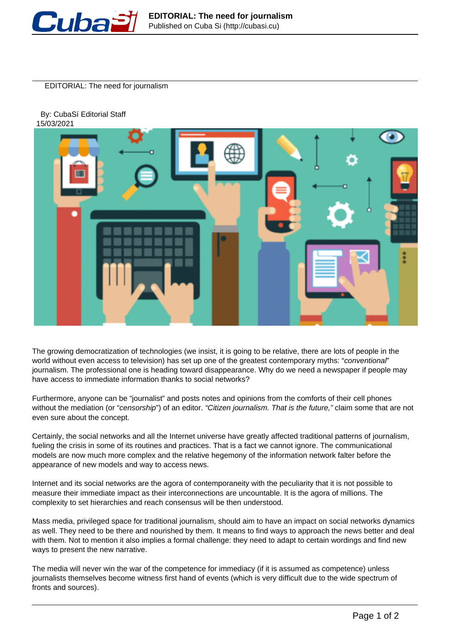

EDITORIAL: The need for journalism

 By: CubaSí Editorial Staff 15/03/2021



The growing democratization of technologies (we insist, it is going to be relative, there are lots of people in the world without even access to television) has set up one of the greatest contemporary myths: "conventional" journalism. The professional one is heading toward disappearance. Why do we need a newspaper if people may have access to immediate information thanks to social networks?

Furthermore, anyone can be "journalist" and posts notes and opinions from the comforts of their cell phones without the mediation (or "censorship") of an editor. "Citizen journalism. That is the future," claim some that are not even sure about the concept.

Certainly, the social networks and all the Internet universe have greatly affected traditional patterns of journalism, fueling the crisis in some of its routines and practices. That is a fact we cannot ignore. The communicational models are now much more complex and the relative hegemony of the information network falter before the appearance of new models and way to access news.

Internet and its social networks are the agora of contemporaneity with the peculiarity that it is not possible to measure their immediate impact as their interconnections are uncountable. It is the agora of millions. The complexity to set hierarchies and reach consensus will be then understood.

Mass media, privileged space for traditional journalism, should aim to have an impact on social networks dynamics as well. They need to be there and nourished by them. It means to find ways to approach the news better and deal with them. Not to mention it also implies a formal challenge: they need to adapt to certain wordings and find new ways to present the new narrative.

The media will never win the war of the competence for immediacy (if it is assumed as competence) unless journalists themselves become witness first hand of events (which is very difficult due to the wide spectrum of fronts and sources).